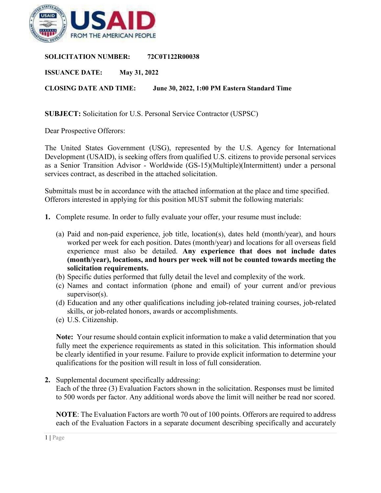

**SOLICITATION NUMBER: 72C0T122R00038**

**ISSUANCE DATE: May 31, 2022**

**CLOSING DATE AND TIME: June 30, 2022, 1:00 PM Eastern Standard Time**

**SUBJECT:** Solicitation for U.S. Personal Service Contractor (USPSC)

Dear Prospective Offerors:

The United States Government (USG), represented by the U.S. Agency for International Development (USAID), is seeking offers from qualified U.S. citizens to provide personal services as a Senior Transition Advisor - Worldwide (GS-15)(Multiple)(Intermittent) under a personal services contract, as described in the attached solicitation.

Submittals must be in accordance with the attached information at the place and time specified. Offerors interested in applying for this position MUST submit the following materials:

- **1.** Complete resume. In order to fully evaluate your offer, your resume must include:
	- (a) Paid and non-paid experience, job title, location(s), dates held (month/year), and hours worked per week for each position. Dates (month/year) and locations for all overseas field experience must also be detailed. **Any experience that does not include dates (month/year), locations, and hours per week will not be counted towards meeting the solicitation requirements.**
	- (b) Specific duties performed that fully detail the level and complexity of the work.
	- (c) Names and contact information (phone and email) of your current and/or previous supervisor(s).
	- (d) Education and any other qualifications including job-related training courses, job-related skills, or job-related honors, awards or accomplishments.
	- (e) U.S. Citizenship.

**Note:** Your resume should contain explicit information to make a valid determination that you fully meet the experience requirements as stated in this solicitation. This information should be clearly identified in your resume. Failure to provide explicit information to determine your qualifications for the position will result in loss of full consideration.

**2.** Supplemental document specifically addressing:

Each of the three (3) Evaluation Factors shown in the solicitation. Responses must be limited to 500 words per factor. Any additional words above the limit will neither be read nor scored.

**NOTE**: The Evaluation Factors are worth 70 out of 100 points. Offerors are required to address each of the Evaluation Factors in a separate document describing specifically and accurately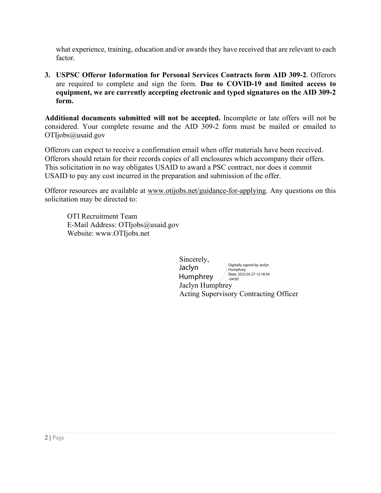what experience, training, education and/or awards they have received that are relevant to each factor.

**3. USPSC Offeror Information for Personal Services Contracts form AID 309-2**. Offerors are required to complete and sign the form. **Due to COVID-19 and limited access to equipment, we are currently accepting electronic and typed signatures on the AID 309-2 form.**

**Additional documents submitted will not be accepted.** Incomplete or late offers will not be considered. Your complete resume and the AID 309-2 form must be mailed or emailed to OTIjobs@usaid.gov

Offerors can expect to receive a confirmation email when offer materials have been received. Offerors should retain for their records copies of all enclosures which accompany their offers. This solicitation in no way obligates USAID to award a PSC contract, nor does it commit USAID to pay any cost incurred in the preparation and submission of the offer.

Offeror resources are available at [www.otijobs.net/guidance-for-applying.](http://www.otijobs.net/guidance-for-applying) Any questions on this solicitation may be directed to:

OTI Recruitment Team E-Mail Address: OTIjobs@usaid.gov Website: www.OTIjobs.net

> Sincerely, Jaclyn Humphrey Acting Supervisory Contracting Officer Jaclyn Humphrey Digitally signed by Jaclyn **Humphrey** Date: 2022.05.27 12:18:34 -04'00'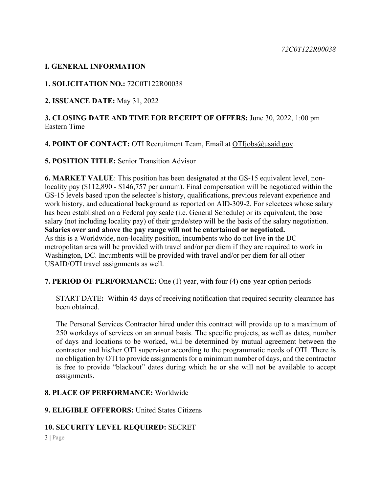### **I. GENERAL INFORMATION**

### **1. SOLICITATION NO.:** 72C0T122R00038

**2. ISSUANCE DATE:** May 31, 2022

**3. CLOSING DATE AND TIME FOR RECEIPT OF OFFERS:** June 30, 2022, 1:00 pm Eastern Time

4. POINT OF CONTACT: OTI Recruitment Team, Email at [OTIjobs@usaid.gov.](mailto:OTIjobs@usaid.gov)

**5. POSITION TITLE:** Senior Transition Advisor

**6. MARKET VALUE**: This position has been designated at the GS-15 equivalent level, nonlocality pay (\$112,890 - \$146,757 per annum). Final compensation will be negotiated within the GS-15 levels based upon the selectee's history, qualifications, previous relevant experience and work history, and educational background as reported on AID-309-2. For selectees whose salary has been established on a Federal pay scale (i.e. General Schedule) or its equivalent, the base salary (not including locality pay) of their grade/step will be the basis of the salary negotiation. **Salaries over and above the pay range will not be entertained or negotiated.**  As this is a Worldwide, non-locality position, incumbents who do not live in the DC metropolitan area will be provided with travel and/or per diem if they are required to work in Washington, DC. Incumbents will be provided with travel and/or per diem for all other USAID/OTI travel assignments as well.

**7. PERIOD OF PERFORMANCE:** One (1) year, with four (4) one-year option periods

START DATE**:** Within 45 days of receiving notification that required security clearance has been obtained.

The Personal Services Contractor hired under this contract will provide up to a maximum of 250 workdays of services on an annual basis. The specific projects, as well as dates, number of days and locations to be worked, will be determined by mutual agreement between the contractor and his/her OTI supervisor according to the programmatic needs of OTI. There is no obligation by OTI to provide assignments for a minimum number of days, and the contractor is free to provide "blackout" dates during which he or she will not be available to accept assignments.

### **8. PLACE OF PERFORMANCE:** Worldwide

### **9. ELIGIBLE OFFERORS:** United States Citizens

### **10. SECURITY LEVEL REQUIRED:** SECRET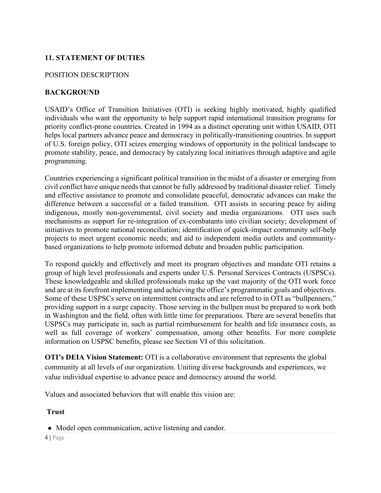# **11. STATEMENT OF DUTIES**

#### POSITION DESCRIPTION

### **BACKGROUND**

USAID's Office of Transition Initiatives (OTI) is seeking highly motivated, highly qualified individuals who want the opportunity to help support rapid international transition programs for priority conflict-prone countries. Created in 1994 as a distinct operating unit within USAID, OTI helps local partners advance peace and democracy in politically-transitioning countries. In support of U.S. foreign policy, OTI seizes emerging windows of opportunity in the political landscape to promote stability, peace, and democracy by catalyzing local initiatives through adaptive and agile programming.

Countries experiencing a significant political transition in the midst of a disaster or emerging from civil conflict have unique needs that cannot be fully addressed by traditional disaster relief. Timely and effective assistance to promote and consolidate peaceful, democratic advances can make the difference between a successful or a failed transition. OTI assists in securing peace by aiding indigenous, mostly non-governmental, civil society and media organizations. OTI uses such mechanisms as support for re-integration of ex-combatants into civilian society; development of initiatives to promote national reconciliation; identification of quick-impact community self-help projects to meet urgent economic needs; and aid to independent media outlets and communitybased organizations to help promote informed debate and broaden public participation.

To respond quickly and effectively and meet its program objectives and mandate OTI retains a group of high level professionals and experts under U.S. Personal Services Contracts (USPSCs). These knowledgeable and skilled professionals make up the vast majority of the OTI work force and are at its forefront implementing and achieving the office's programmatic goals and objectives. Some of these USPSCs serve on intermittent contracts and are referred to in OTI as "bullpenners," providing support in a surge capacity. Those serving in the bullpen must be prepared to work both in Washington and the field, often with little time for preparations*.* There are several benefits that USPSCs may participate in, such as partial reimbursement for health and life insurance costs, as well as full coverage of workers' compensation, among other benefits. For more complete information on USPSC benefits, please see Section VI of this solicitation.

**OTI's DEIA Vision Statement:** OTI is a collaborative environment that represents the global community at all levels of our organization. Uniting diverse backgrounds and experiences, we value individual expertise to advance peace and democracy around the world.

Values and associated behaviors that will enable this vision are:

#### **Trust**

• Model open communication, active listening and candor.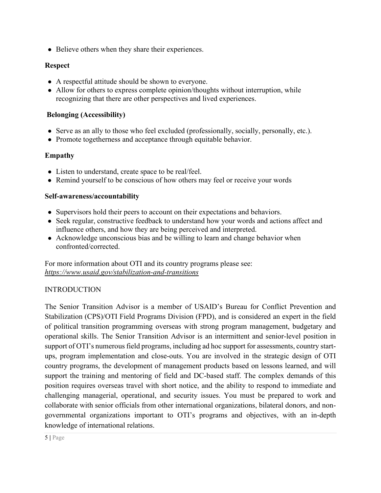• Believe others when they share their experiences.

### **Respect**

- A respectful attitude should be shown to everyone.
- Allow for others to express complete opinion/thoughts without interruption, while recognizing that there are other perspectives and lived experiences.

### **Belonging (Accessibility)**

- Serve as an ally to those who feel excluded (professionally, socially, personally, etc.).
- Promote togetherness and acceptance through equitable behavior.

### **Empathy**

- Listen to understand, create space to be real/feel.
- Remind yourself to be conscious of how others may feel or receive your words

### **Self-awareness/accountability**

- Supervisors hold their peers to account on their expectations and behaviors.
- Seek regular, constructive feedback to understand how your words and actions affect and influence others, and how they are being perceived and interpreted.
- Acknowledge unconscious bias and be willing to learn and change behavior when confronted/corrected.

For more information about OTI and its country programs please see: *<https://www.usaid.gov/stabilization-and-transitions>*

# INTRODUCTION

The Senior Transition Advisor is a member of USAID's Bureau for Conflict Prevention and Stabilization (CPS)/OTI Field Programs Division (FPD), and is considered an expert in the field of political transition programming overseas with strong program management, budgetary and operational skills. The Senior Transition Advisor is an intermittent and senior-level position in support of OTI's numerous field programs, including ad hoc support for assessments, country startups, program implementation and close-outs. You are involved in the strategic design of OTI country programs, the development of management products based on lessons learned, and will support the training and mentoring of field and DC-based staff. The complex demands of this position requires overseas travel with short notice, and the ability to respond to immediate and challenging managerial, operational, and security issues. You must be prepared to work and collaborate with senior officials from other international organizations, bilateral donors, and nongovernmental organizations important to OTI's programs and objectives, with an in-depth knowledge of international relations.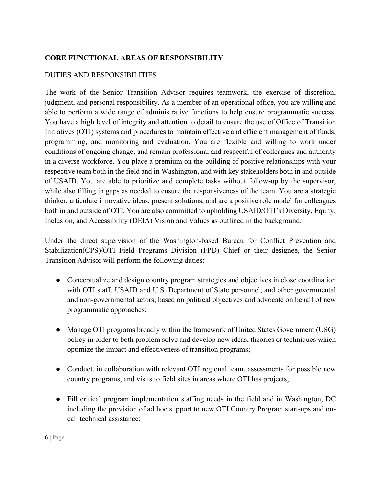# **CORE FUNCTIONAL AREAS OF RESPONSIBILITY**

### DUTIES AND RESPONSIBILITIES

The work of the Senior Transition Advisor requires teamwork, the exercise of discretion, judgment, and personal responsibility. As a member of an operational office, you are willing and able to perform a wide range of administrative functions to help ensure programmatic success. You have a high level of integrity and attention to detail to ensure the use of Office of Transition Initiatives (OTI) systems and procedures to maintain effective and efficient management of funds, programming, and monitoring and evaluation. You are flexible and willing to work under conditions of ongoing change, and remain professional and respectful of colleagues and authority in a diverse workforce. You place a premium on the building of positive relationships with your respective team both in the field and in Washington, and with key stakeholders both in and outside of USAID. You are able to prioritize and complete tasks without follow-up by the supervisor, while also filling in gaps as needed to ensure the responsiveness of the team. You are a strategic thinker, articulate innovative ideas, present solutions, and are a positive role model for colleagues both in and outside of OTI. You are also committed to upholding USAID/OTI's Diversity, Equity, Inclusion, and Accessibility (DEIA) Vision and Values as outlined in the background.

Under the direct supervision of the Washington-based Bureau for Conflict Prevention and Stabilization(CPS)/OTI Field Programs Division (FPD) Chief or their designee, the Senior Transition Advisor will perform the following duties:

- Conceptualize and design country program strategies and objectives in close coordination with OTI staff, USAID and U.S. Department of State personnel, and other governmental and non-governmental actors, based on political objectives and advocate on behalf of new programmatic approaches;
- Manage OTI programs broadly within the framework of United States Government (USG) policy in order to both problem solve and develop new ideas, theories or techniques which optimize the impact and effectiveness of transition programs;
- Conduct, in collaboration with relevant OTI regional team, assessments for possible new country programs, and visits to field sites in areas where OTI has projects;
- Fill critical program implementation staffing needs in the field and in Washington, DC including the provision of ad hoc support to new OTI Country Program start-ups and oncall technical assistance;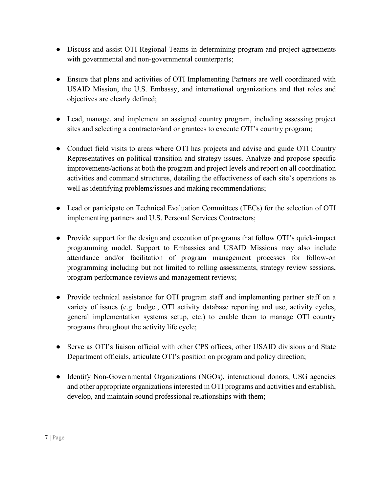- Discuss and assist OTI Regional Teams in determining program and project agreements with governmental and non-governmental counterparts;
- Ensure that plans and activities of OTI Implementing Partners are well coordinated with USAID Mission, the U.S. Embassy, and international organizations and that roles and objectives are clearly defined;
- Lead, manage, and implement an assigned country program, including assessing project sites and selecting a contractor/and or grantees to execute OTI's country program;
- Conduct field visits to areas where OTI has projects and advise and guide OTI Country Representatives on political transition and strategy issues. Analyze and propose specific improvements/actions at both the program and project levels and report on all coordination activities and command structures, detailing the effectiveness of each site's operations as well as identifying problems/issues and making recommendations;
- Lead or participate on Technical Evaluation Committees (TECs) for the selection of OTI implementing partners and U.S. Personal Services Contractors;
- Provide support for the design and execution of programs that follow OTI's quick-impact programming model. Support to Embassies and USAID Missions may also include attendance and/or facilitation of program management processes for follow-on programming including but not limited to rolling assessments, strategy review sessions, program performance reviews and management reviews;
- Provide technical assistance for OTI program staff and implementing partner staff on a variety of issues (e.g. budget, OTI activity database reporting and use, activity cycles, general implementation systems setup, etc.) to enable them to manage OTI country programs throughout the activity life cycle;
- Serve as OTI's liaison official with other CPS offices, other USAID divisions and State Department officials, articulate OTI's position on program and policy direction;
- Identify Non-Governmental Organizations (NGOs), international donors, USG agencies and other appropriate organizations interested in OTI programs and activities and establish, develop, and maintain sound professional relationships with them;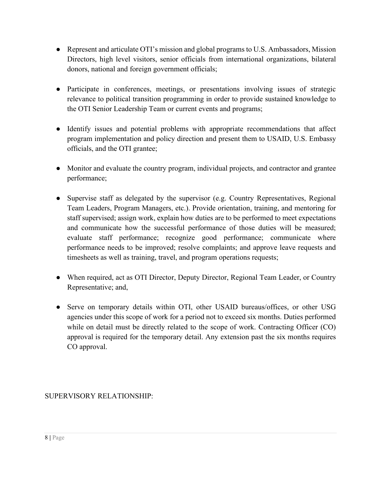- Represent and articulate OTI's mission and global programs to U.S. Ambassadors, Mission Directors, high level visitors, senior officials from international organizations, bilateral donors, national and foreign government officials;
- Participate in conferences, meetings, or presentations involving issues of strategic relevance to political transition programming in order to provide sustained knowledge to the OTI Senior Leadership Team or current events and programs;
- Identify issues and potential problems with appropriate recommendations that affect program implementation and policy direction and present them to USAID, U.S. Embassy officials, and the OTI grantee;
- Monitor and evaluate the country program, individual projects, and contractor and grantee performance;
- Supervise staff as delegated by the supervisor (e.g. Country Representatives, Regional Team Leaders, Program Managers, etc.). Provide orientation, training, and mentoring for staff supervised; assign work, explain how duties are to be performed to meet expectations and communicate how the successful performance of those duties will be measured; evaluate staff performance; recognize good performance; communicate where performance needs to be improved; resolve complaints; and approve leave requests and timesheets as well as training, travel, and program operations requests;
- When required, act as OTI Director, Deputy Director, Regional Team Leader, or Country Representative; and,
- Serve on temporary details within OTI, other USAID bureaus/offices, or other USG agencies under this scope of work for a period not to exceed six months. Duties performed while on detail must be directly related to the scope of work. Contracting Officer (CO) approval is required for the temporary detail. Any extension past the six months requires CO approval.

SUPERVISORY RELATIONSHIP: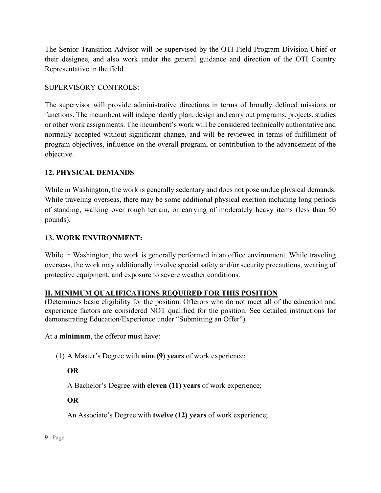The Senior Transition Advisor will be supervised by the OTI Field Program Division Chief or their designee, and also work under the general guidance and direction of the OTI Country Representative in the field.

### SUPERVISORY CONTROLS:

The supervisor will provide administrative directions in terms of broadly defined missions or functions. The incumbent will independently plan, design and carry out programs, projects, studies or other work assignments. The incumbent's work will be considered technically authoritative and normally accepted without significant change, and will be reviewed in terms of fulfillment of program objectives, influence on the overall program, or contribution to the advancement of the objective.

# **12. PHYSICAL DEMANDS**

While in Washington, the work is generally sedentary and does not pose undue physical demands. While traveling overseas, there may be some additional physical exertion including long periods of standing, walking over rough terrain, or carrying of moderately heavy items (less than 50 pounds).

### **13. WORK ENVIRONMENT:**

While in Washington, the work is generally performed in an office environment. While traveling overseas, the work may additionally involve special safety and/or security precautions, wearing of protective equipment, and exposure to severe weather conditions.

### **II. MINIMUM QUALIFICATIONS REQUIRED FOR THIS POSITION**

(Determines basic eligibility for the position. Offerors who do not meet all of the education and experience factors are considered NOT qualified for the position. See detailed instructions for demonstrating Education/Experience under "Submitting an Offer")

At a **minimum**, the offeror must have:

(1) A Master's Degree with **nine (9) years** of work experience;

# **OR**

A Bachelor's Degree with **eleven (11) years** of work experience;

### **OR**

An Associate's Degree with **twelve (12) years** of work experience;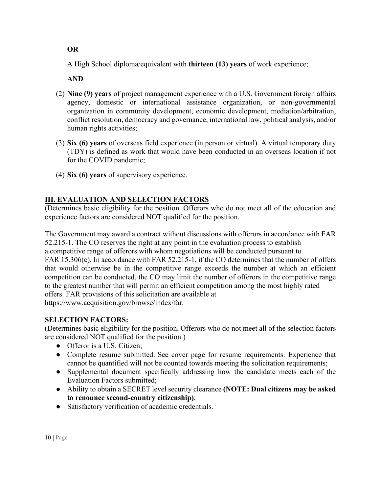A High School diploma/equivalent with **thirteen (13) years** of work experience;

 **AND**

- (2) **Nine (9) years** of project management experience with a U.S. Government foreign affairs agency, domestic or international assistance organization, or non-governmental organization in community development, economic development, mediation/arbitration, conflict resolution, democracy and governance, international law, political analysis, and/or human rights activities;
- (3) **Six (6) years** of overseas field experience (in person or virtual). A virtual temporary duty (TDY) is defined as work that would have been conducted in an overseas location if not for the COVID pandemic;
- (4) **Six (6) years** of supervisory experience.

# **III. EVALUATION AND SELECTION FACTORS**

(Determines basic eligibility for the position. Offerors who do not meet all of the education and experience factors are considered NOT qualified for the position.

The Government may award a contract without discussions with offerors in accordance with FAR 52.215-1. The CO reserves the right at any point in the evaluation process to establish a competitive range of offerors with whom negotiations will be conducted pursuant to FAR 15.306(c). In accordance with FAR 52.215-1, if the CO determines that the number of offers that would otherwise be in the competitive range exceeds the number at which an efficient competition can be conducted, the CO may limit the number of offerors in the competitive range to the greatest number that will permit an efficient competition among the most highly rated offers. FAR provisions of this solicitation are available at [https://www.acquisition.gov/browse/index/far.](https://www.acquisition.gov/browse/index/far)

# **SELECTION FACTORS:**

(Determines basic eligibility for the position. Offerors who do not meet all of the selection factors are considered NOT qualified for the position.)

- Offeror is a U.S. Citizen;
- Complete resume submitted. See cover page for resume requirements. Experience that cannot be quantified will not be counted towards meeting the solicitation requirements;
- Supplemental document specifically addressing how the candidate meets each of the Evaluation Factors submitted;
- Ability to obtain a SECRET level security clearance **(NOTE: Dual citizens may be asked to renounce second-country citizenship)**;
- Satisfactory verification of academic credentials.

### **OR**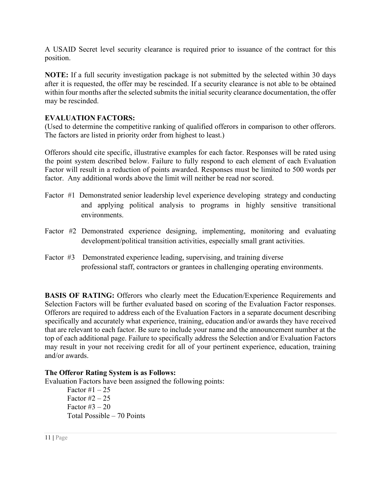A USAID Secret level security clearance is required prior to issuance of the contract for this position.

**NOTE:** If a full security investigation package is not submitted by the selected within 30 days after it is requested, the offer may be rescinded. If a security clearance is not able to be obtained within four months after the selected submits the initial security clearance documentation, the offer may be rescinded.

### **EVALUATION FACTORS:**

(Used to determine the competitive ranking of qualified offerors in comparison to other offerors. The factors are listed in priority order from highest to least.)

Offerors should cite specific, illustrative examples for each factor. Responses will be rated using the point system described below. Failure to fully respond to each element of each Evaluation Factor will result in a reduction of points awarded. Responses must be limited to 500 words per factor. Any additional words above the limit will neither be read nor scored.

- Factor #1 Demonstrated senior leadership level experience developing strategy and conducting and applying political analysis to programs in highly sensitive transitional environments.
- Factor #2 Demonstrated experience designing, implementing, monitoring and evaluating development/political transition activities, especially small grant activities.
- Factor #3 Demonstrated experience leading, supervising, and training diverse professional staff, contractors or grantees in challenging operating environments.

**BASIS OF RATING:** Offerors who clearly meet the Education/Experience Requirements and Selection Factors will be further evaluated based on scoring of the Evaluation Factor responses. Offerors are required to address each of the Evaluation Factors in a separate document describing specifically and accurately what experience, training, education and/or awards they have received that are relevant to each factor. Be sure to include your name and the announcement number at the top of each additional page. Failure to specifically address the Selection and/or Evaluation Factors may result in your not receiving credit for all of your pertinent experience, education, training and/or awards.

### **The Offeror Rating System is as Follows:**

Evaluation Factors have been assigned the following points:

Factor  $\#1 - 25$ Factor  $\#2 - 25$ Factor  $#3 - 20$ Total Possible – 70 Points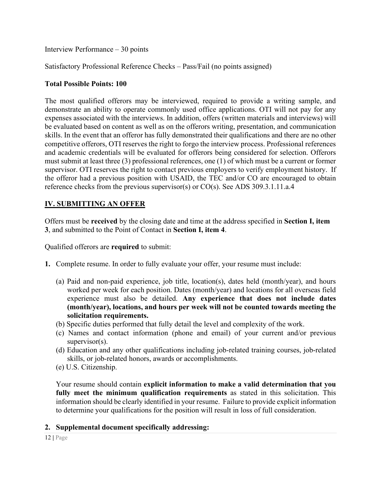Interview Performance – 30 points

Satisfactory Professional Reference Checks – Pass/Fail (no points assigned)

#### **Total Possible Points: 100**

The most qualified offerors may be interviewed, required to provide a writing sample, and demonstrate an ability to operate commonly used office applications. OTI will not pay for any expenses associated with the interviews. In addition, offers (written materials and interviews) will be evaluated based on content as well as on the offerors writing, presentation, and communication skills. In the event that an offeror has fully demonstrated their qualifications and there are no other competitive offerors, OTI reserves the right to forgo the interview process. Professional references and academic credentials will be evaluated for offerors being considered for selection. Offerors must submit at least three (3) professional references, one (1) of which must be a current or former supervisor. OTI reserves the right to contact previous employers to verify employment history. If the offeror had a previous position with USAID, the TEC and/or CO are encouraged to obtain reference checks from the previous supervisor(s) or CO(s). See [ADS 309.3.1.11.a.4](https://www.usaid.gov/sites/default/files/documents/309.pdf)

### **IV. SUBMITTING AN OFFER**

Offers must be **received** by the closing date and time at the address specified in **Section I, item 3**, and submitted to the Point of Contact in **Section I, item 4**.

Qualified offerors are **required** to submit:

- **1.** Complete resume. In order to fully evaluate your offer, your resume must include:
	- (a) Paid and non-paid experience, job title, location(s), dates held (month/year), and hours worked per week for each position. Dates (month/year) and locations for all overseas field experience must also be detailed. **Any experience that does not include dates (month/year), locations, and hours per week will not be counted towards meeting the solicitation requirements.**
	- (b) Specific duties performed that fully detail the level and complexity of the work.
	- (c) Names and contact information (phone and email) of your current and/or previous supervisor(s).
	- (d) Education and any other qualifications including job-related training courses, job-related skills, or job-related honors, awards or accomplishments.
	- (e) U.S. Citizenship.

Your resume should contain **explicit information to make a valid determination that you fully meet the minimum qualification requirements** as stated in this solicitation. This information should be clearly identified in your resume. Failure to provide explicit information to determine your qualifications for the position will result in loss of full consideration.

#### **2. Supplemental document specifically addressing:**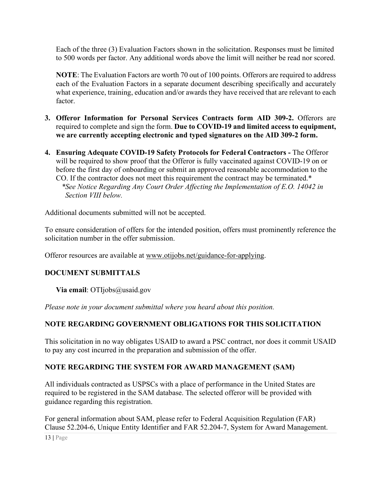Each of the three (3) Evaluation Factors shown in the solicitation. Responses must be limited to 500 words per factor. Any additional words above the limit will neither be read nor scored.

**NOTE**: The Evaluation Factors are worth 70 out of 100 points. Offerors are required to address each of the Evaluation Factors in a separate document describing specifically and accurately what experience, training, education and/or awards they have received that are relevant to each factor.

- **3. Offeror Information for Personal Services Contracts form AID 309-2.** Offerors are required to complete and sign the form. **Due to COVID-19 and limited access to equipment, we are currently accepting electronic and typed signatures on the AID 309-2 form.**
- **4. Ensuring Adequate COVID-19 Safety Protocols for Federal Contractors** The Offeror will be required to show proof that the Offeror is fully vaccinated against COVID-19 on or before the first day of onboarding or submit an approved reasonable accommodation to the CO. If the contractor does not meet this requirement the contract may be terminated.\* *\*See Notice Regarding Any Court Order Affecting the Implementation of E.O. 14042 in Section VIII below.*

Additional documents submitted will not be accepted.

To ensure consideration of offers for the intended position, offers must prominently reference the solicitation number in the offer submission.

Offeror resources are available at [www.otijobs.net/guidance-for-applying.](http://www.otijobs.net/guidance-for-applying)

# **DOCUMENT SUBMITTALS**

**Via email**: OTIjobs@usaid.gov

*Please note in your document submittal where you heard about this position.* 

# **NOTE REGARDING GOVERNMENT OBLIGATIONS FOR THIS SOLICITATION**

This solicitation in no way obligates USAID to award a PSC contract, nor does it commit USAID to pay any cost incurred in the preparation and submission of the offer.

# **NOTE REGARDING THE SYSTEM FOR AWARD MANAGEMENT (SAM)**

All individuals contracted as USPSCs with a place of performance in the United States are required to be registered in the SAM database. The selected offeror will be provided with guidance regarding this registration.

For general information about SAM, please refer to Federal Acquisition Regulation (FAR) Clause 52.204-6, Unique Entity Identifier and FAR 52.204-7, System for Award Management.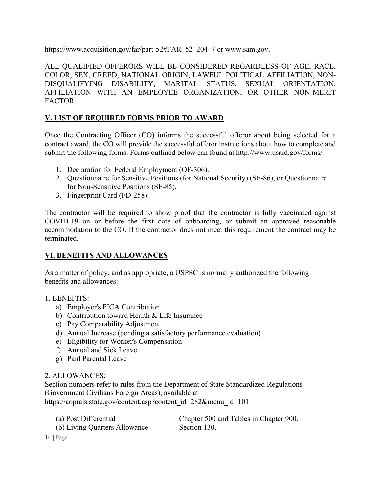https://www.acquisition.gov/far/part-52#FAR\_52\_204\_7 or [www.sam.gov.](http://www.sam.gov/)

ALL QUALIFIED OFFERORS WILL BE CONSIDERED REGARDLESS OF AGE, RACE, COLOR, SEX, CREED, NATIONAL ORIGIN, LAWFUL POLITICAL AFFILIATION, NON-DISQUALIFYING DISABILITY, MARITAL STATUS, SEXUAL ORIENTATION, AFFILIATION WITH AN EMPLOYEE ORGANIZATION, OR OTHER NON-MERIT FACTOR.

# **V. LIST OF REQUIRED FORMS PRIOR TO AWARD**

Once the Contracting Officer (CO) informs the successful offeror about being selected for a contract award, the CO will provide the successful offeror instructions about how to complete and submit the following forms. Forms outlined below can found at<http://www.usaid.gov/forms/>

- 1. Declaration for Federal Employment (OF-306).
- 2. Questionnaire for Sensitive Positions (for National Security) (SF-86), or Questionnaire for Non-Sensitive Positions (SF-85).
- 3. Fingerprint Card (FD-258).

The contractor will be required to show proof that the contractor is fully vaccinated against COVID-19 on or before the first date of onboarding, or submit an approved reasonable accommodation to the CO. If the contractor does not meet this requirement the contract may be terminated.

# **VI. BENEFITS AND ALLOWANCES**

As a matter of policy, and as appropriate, a USPSC is normally authorized the following benefits and allowances:

### 1. BENEFITS:

- a) Employer's FICA Contribution
- b) Contribution toward Health & Life Insurance
- c) Pay Comparability Adjustment
- d) Annual Increase (pending a satisfactory performance evaluation)
- e) Eligibility for Worker's Compensation
- f) Annual and Sick Leave
- g) Paid Parental Leave

### 2. ALLOWANCES:

Section numbers refer to rules from the Department of State Standardized Regulations (Government Civilians Foreign Areas), available at [https://aoprals.state.gov/content.asp?content\\_id=282&menu\\_id=101](https://aoprals.state.gov/content.asp?content_id=282&menu_id=101)

| (a) Post Differential         | Chapter 500 and Tables in Chapter 900. |
|-------------------------------|----------------------------------------|
| (b) Living Quarters Allowance | Section 130.                           |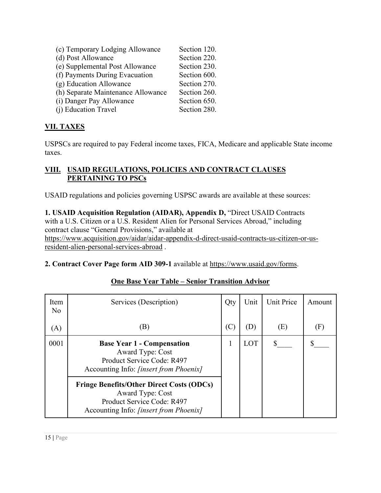| (c) Temporary Lodging Allowance    | Section 120. |
|------------------------------------|--------------|
| (d) Post Allowance                 | Section 220. |
| (e) Supplemental Post Allowance    | Section 230. |
| (f) Payments During Evacuation     | Section 600. |
| (g) Education Allowance            | Section 270. |
| (h) Separate Maintenance Allowance | Section 260. |
| (i) Danger Pay Allowance           | Section 650. |
| (j) Education Travel               | Section 280. |

# **VII. TAXES**

USPSCs are required to pay Federal income taxes, FICA, Medicare and applicable State income taxes.

# **VIII. USAID REGULATIONS, POLICIES AND CONTRACT CLAUSES PERTAINING TO PSCs**

USAID regulations and policies governing USPSC awards are available at these sources:

**1. USAID Acquisition Regulation (AIDAR), Appendix D,** "Direct USAID Contracts with a U.S. Citizen or a U.S. Resident Alien for Personal Services Abroad," including contract clause "General Provisions," available at [https://www.acquisition.gov/aidar/aidar-appendix-d-direct-usaid-contracts-us-citizen-or-us](https://www.acquisition.gov/aidar/aidar-appendix-d-direct-usaid-contracts-us-citizen-or-us-resident-alien-personal-services-abroad)[resident-alien-personal-services-abroad](https://www.acquisition.gov/aidar/aidar-appendix-d-direct-usaid-contracts-us-citizen-or-us-resident-alien-personal-services-abroad) .

| 2. Contract Cover Page form AID 309-1 available at https://www.usaid.gov/forms. |  |  |
|---------------------------------------------------------------------------------|--|--|
|---------------------------------------------------------------------------------|--|--|

| Item<br>N <sub>o</sub> | Services (Description)                                                                                                                              | Qty | Unit                       | Unit Price | Amount |
|------------------------|-----------------------------------------------------------------------------------------------------------------------------------------------------|-----|----------------------------|------------|--------|
| (A)                    | (B)                                                                                                                                                 | (C) | $\left( \mathrm{D}\right)$ | (E)        | (F)    |
| 0001                   | <b>Base Year 1 - Compensation</b><br>Award Type: Cost<br>Product Service Code: R497<br>Accounting Info: <i>[insert from Phoenix]</i>                |     | LOT                        |            |        |
|                        | <b>Fringe Benefits/Other Direct Costs (ODCs)</b><br><b>Award Type: Cost</b><br>Product Service Code: R497<br>Accounting Info: [insert from Phoenix] |     |                            |            |        |

# **One Base Year Table – Senior Transition Advisor**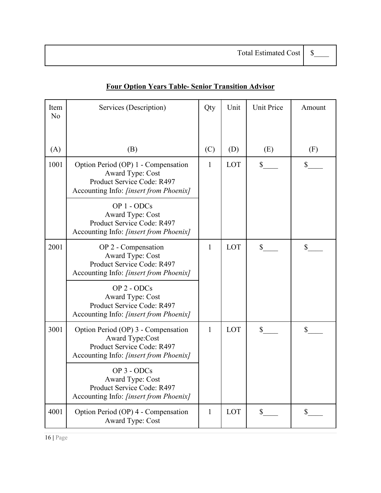| Item<br>No | Services (Description)                                                                                                                | Qty          | Unit | <b>Unit Price</b> | Amount       |
|------------|---------------------------------------------------------------------------------------------------------------------------------------|--------------|------|-------------------|--------------|
| (A)        | (B)                                                                                                                                   | (C)          | (D)  | (E)               | (F)          |
| 1001       | Option Period (OP) 1 - Compensation<br>Award Type: Cost<br>Product Service Code: R497<br>Accounting Info: [insert from Phoenix]       | 1            | LOT  | $\mathbb{S}^-$    | \$           |
|            | OP 1 - ODCs<br><b>Award Type: Cost</b><br>Product Service Code: R497<br>Accounting Info: [insert from Phoenix]                        |              |      |                   |              |
| 2001       | OP 2 - Compensation<br>Award Type: Cost<br>Product Service Code: R497<br>Accounting Info: [insert from Phoenix]                       | $\mathbf{1}$ | LOT  | \$                | \$           |
|            | OP 2 - ODCs<br>Award Type: Cost<br>Product Service Code: R497<br>Accounting Info: [insert from Phoenix]                               |              |      |                   |              |
| 3001       | Option Period (OP) 3 - Compensation<br><b>Award Type:Cost</b><br>Product Service Code: R497<br>Accounting Info: [insert from Phoenix] | $\mathbf{1}$ | LOT  | \$                | \$           |
|            | OP 3 - ODCs<br>Award Type: Cost<br>Product Service Code: R497<br>Accounting Info: [insert from Phoenix]                               |              |      |                   |              |
| 4001       | Option Period (OP) 4 - Compensation<br>Award Type: Cost                                                                               | $\mathbf{1}$ | LOT  | $\mathbb{S}$      | $\mathbb{S}$ |

# **Four Option Years Table- Senior Transition Advisor**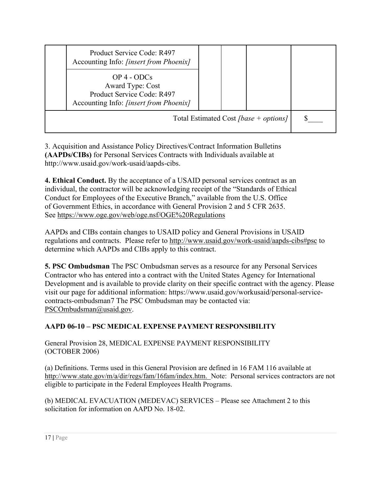|                                       | Product Service Code: R497<br>Accounting Info: <i>[insert from Phoenix]</i>                                        |  |  |  |  |
|---------------------------------------|--------------------------------------------------------------------------------------------------------------------|--|--|--|--|
|                                       | $OP$ 4 - $ODCs$<br>Award Type: Cost<br>Product Service Code: R497<br>Accounting Info: <i>[insert from Phoenix]</i> |  |  |  |  |
| Total Estimated Cost [base + options] |                                                                                                                    |  |  |  |  |

3. Acquisition and Assistance Policy Directives/Contract Information Bulletins **(AAPDs/CIBs)** for Personal Services Contracts with Individuals available at http://www.usaid.gov/work-usaid/aapds-cibs.

**4. Ethical Conduct.** By the acceptance of a USAID personal services contract as an individual, the contractor will be acknowledging receipt of the "Standards of Ethical Conduct for Employees of the Executive Branch," available from the U.S. Office of Government Ethics, in accordance with General Provision 2 and 5 CFR 2635. See<https://www.oge.gov/web/oge.nsf/OGE%20Regulations>

AAPDs and CIBs contain changes to USAID policy and General Provisions in USAID regulations and contracts. Please refer to<http://www.usaid.gov/work-usaid/aapds-cibs#psc>to determine which AAPDs and CIBs apply to this contract.

**5. PSC Ombudsman** The PSC Ombudsman serves as a resource for any Personal Services Contractor who has entered into a contract with the United States Agency for International Development and is available to provide clarity on their specific contract with the agency. Please visit our page for additional information: https://www.usaid.gov/workusaid/personal-servicecontracts-ombudsman7 The PSC Ombudsman may be contacted via: [PSCOmbudsman@usaid.gov.](mailto:PSCOmbudsman@usaid.gov)

# **AAPD 06-10 – PSC MEDICAL EXPENSE PAYMENT RESPONSIBILITY**

General Provision 28, MEDICAL EXPENSE PAYMENT RESPONSIBILITY (OCTOBER 2006)

(a) Definitions. Terms used in this General Provision are defined in 16 FAM 116 available at [http://www.state.gov/m/a/dir/regs/fam/16fam/index.htm.](http://www.state.gov/m/a/dir/regs/fam/16fam/index.htm) Note: Personal services contractors are not eligible to participate in the Federal Employees Health Programs.

(b) MEDICAL EVACUATION (MEDEVAC) SERVICES – Please see Attachment 2 to this solicitation for information on AAPD No. 18-02.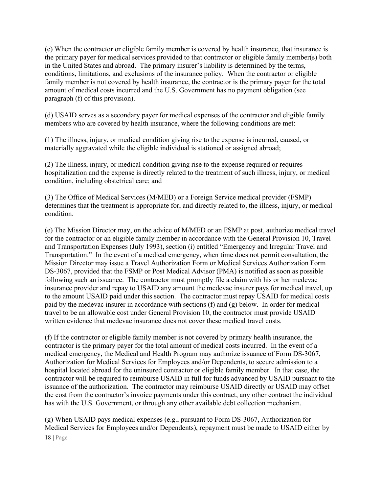(c) When the contractor or eligible family member is covered by health insurance, that insurance is the primary payer for medical services provided to that contractor or eligible family member(s) both in the United States and abroad. The primary insurer's liability is determined by the terms, conditions, limitations, and exclusions of the insurance policy. When the contractor or eligible family member is not covered by health insurance, the contractor is the primary payer for the total amount of medical costs incurred and the U.S. Government has no payment obligation (see paragraph (f) of this provision).

(d) USAID serves as a secondary payer for medical expenses of the contractor and eligible family members who are covered by health insurance, where the following conditions are met:

(1) The illness, injury, or medical condition giving rise to the expense is incurred, caused, or materially aggravated while the eligible individual is stationed or assigned abroad;

(2) The illness, injury, or medical condition giving rise to the expense required or requires hospitalization and the expense is directly related to the treatment of such illness, injury, or medical condition, including obstetrical care; and

(3) The Office of Medical Services (M/MED) or a Foreign Service medical provider (FSMP) determines that the treatment is appropriate for, and directly related to, the illness, injury, or medical condition.

(e) The Mission Director may, on the advice of M/MED or an FSMP at post, authorize medical travel for the contractor or an eligible family member in accordance with the General Provision 10, Travel and Transportation Expenses (July 1993), section (i) entitled "Emergency and Irregular Travel and Transportation." In the event of a medical emergency, when time does not permit consultation, the Mission Director may issue a Travel Authorization Form or Medical Services Authorization Form DS-3067, provided that the FSMP or Post Medical Advisor (PMA) is notified as soon as possible following such an issuance. The contractor must promptly file a claim with his or her medevac insurance provider and repay to USAID any amount the medevac insurer pays for medical travel, up to the amount USAID paid under this section. The contractor must repay USAID for medical costs paid by the medevac insurer in accordance with sections (f) and (g) below. In order for medical travel to be an allowable cost under General Provision 10, the contractor must provide USAID written evidence that medevac insurance does not cover these medical travel costs.

(f) If the contractor or eligible family member is not covered by primary health insurance, the contractor is the primary payer for the total amount of medical costs incurred. In the event of a medical emergency, the Medical and Health Program may authorize issuance of Form DS-3067, Authorization for Medical Services for Employees and/or Dependents, to secure admission to a hospital located abroad for the uninsured contractor or eligible family member. In that case, the contractor will be required to reimburse USAID in full for funds advanced by USAID pursuant to the issuance of the authorization. The contractor may reimburse USAID directly or USAID may offset the cost from the contractor's invoice payments under this contract, any other contract the individual has with the U.S. Government, or through any other available debt collection mechanism.

(g) When USAID pays medical expenses (e.g., pursuant to Form DS-3067, Authorization for Medical Services for Employees and/or Dependents), repayment must be made to USAID either by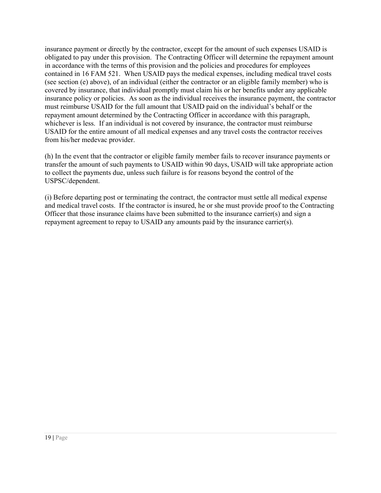insurance payment or directly by the contractor, except for the amount of such expenses USAID is obligated to pay under this provision. The Contracting Officer will determine the repayment amount in accordance with the terms of this provision and the policies and procedures for employees contained in 16 FAM 521. When USAID pays the medical expenses, including medical travel costs (see section (e) above), of an individual (either the contractor or an eligible family member) who is covered by insurance, that individual promptly must claim his or her benefits under any applicable insurance policy or policies. As soon as the individual receives the insurance payment, the contractor must reimburse USAID for the full amount that USAID paid on the individual's behalf or the repayment amount determined by the Contracting Officer in accordance with this paragraph, whichever is less. If an individual is not covered by insurance, the contractor must reimburse USAID for the entire amount of all medical expenses and any travel costs the contractor receives from his/her medevac provider.

(h) In the event that the contractor or eligible family member fails to recover insurance payments or transfer the amount of such payments to USAID within 90 days, USAID will take appropriate action to collect the payments due, unless such failure is for reasons beyond the control of the USPSC/dependent.

(i) Before departing post or terminating the contract, the contractor must settle all medical expense and medical travel costs. If the contractor is insured, he or she must provide proof to the Contracting Officer that those insurance claims have been submitted to the insurance carrier(s) and sign a repayment agreement to repay to USAID any amounts paid by the insurance carrier(s).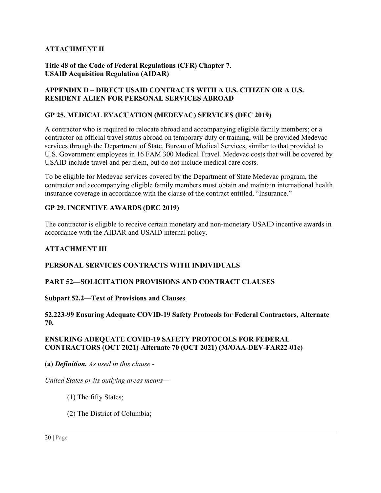### **ATTACHMENT II**

#### **Title 48 of the Code of Federal Regulations (CFR) Chapter 7. USAID Acquisition Regulation (AIDAR)**

#### **APPENDIX D – DIRECT USAID CONTRACTS WITH A U.S. CITIZEN OR A U.S. RESIDENT ALIEN FOR PERSONAL SERVICES ABROAD**

### **GP 25. MEDICAL EVACUATION (MEDEVAC) SERVICES (DEC 2019)**

A contractor who is required to relocate abroad and accompanying eligible family members; or a contractor on official travel status abroad on temporary duty or training, will be provided Medevac services through the Department of State, Bureau of Medical Services, similar to that provided to U.S. Government employees in 16 FAM 300 Medical Travel. Medevac costs that will be covered by USAID include travel and per diem, but do not include medical care costs.

To be eligible for Medevac services covered by the Department of State Medevac program, the contractor and accompanying eligible family members must obtain and maintain international health insurance coverage in accordance with the clause of the contract entitled, "Insurance."

#### **GP 29. INCENTIVE AWARDS (DEC 2019)**

The contractor is eligible to receive certain monetary and non-monetary USAID incentive awards in accordance with the AIDAR and USAID internal policy.

### **ATTACHMENT III**

### **PERSONAL SERVICES CONTRACTS WITH INDIVIDUALS**

#### **PART 52—SOLICITATION PROVISIONS AND CONTRACT CLAUSES**

#### **Subpart 52.2—Text of Provisions and Clauses**

#### **52.223-99 Ensuring Adequate COVID-19 Safety Protocols for Federal Contractors, Alternate 70.**

#### **ENSURING ADEQUATE COVID-19 SAFETY PROTOCOLS FOR FEDERAL CONTRACTORS (OCT 2021)-Alternate 70 (OCT 2021) (M/OAA-DEV-FAR22-01c)**

**(a)** *Definition. As used in this clause -* 

*United States or its outlying areas means—* 

- (1) The fifty States;
- (2) The District of Columbia;